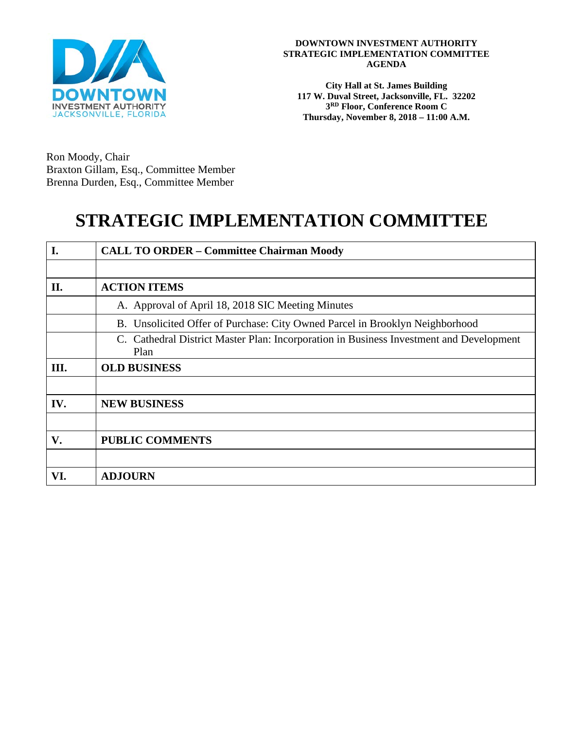

**City Hall at St. James Building 117 W. Duval Street, Jacksonville, FL. 32202 3RD Floor, Conference Room C Thursday, November 8, 2018 – 11:00 A.M.**

Ron Moody, Chair Braxton Gillam, Esq., Committee Member Brenna Durden, Esq., Committee Member

# **STRATEGIC IMPLEMENTATION COMMITTEE**

| I.  | <b>CALL TO ORDER - Committee Chairman Moody</b>                                                 |
|-----|-------------------------------------------------------------------------------------------------|
|     |                                                                                                 |
| П.  | <b>ACTION ITEMS</b>                                                                             |
|     | A. Approval of April 18, 2018 SIC Meeting Minutes                                               |
|     | B. Unsolicited Offer of Purchase: City Owned Parcel in Brooklyn Neighborhood                    |
|     | C. Cathedral District Master Plan: Incorporation in Business Investment and Development<br>Plan |
| Ш.  | <b>OLD BUSINESS</b>                                                                             |
|     |                                                                                                 |
| IV. | <b>NEW BUSINESS</b>                                                                             |
|     |                                                                                                 |
| V.  | <b>PUBLIC COMMENTS</b>                                                                          |
|     |                                                                                                 |
| VI. | <b>ADJOURN</b>                                                                                  |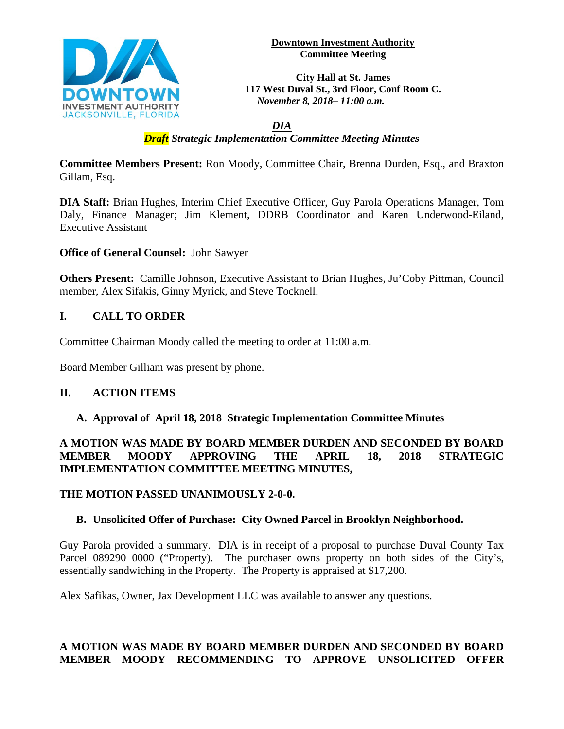

**Downtown Investment Authority Committee Meeting**

**City Hall at St. James 117 West Duval St., 3rd Floor, Conf Room C.** *November 8, 2018– 11:00 a.m.*

#### *DIA Draft Strategic Implementation Committee Meeting Minutes*

**Committee Members Present:** Ron Moody, Committee Chair, Brenna Durden, Esq., and Braxton Gillam, Esq.

**DIA Staff:** Brian Hughes, Interim Chief Executive Officer, Guy Parola Operations Manager, Tom Daly, Finance Manager; Jim Klement, DDRB Coordinator and Karen Underwood-Eiland, Executive Assistant

**Office of General Counsel:** John Sawyer

**Others Present:** Camille Johnson, Executive Assistant to Brian Hughes, Ju'Coby Pittman, Council member, Alex Sifakis, Ginny Myrick, and Steve Tocknell.

## **I. CALL TO ORDER**

Committee Chairman Moody called the meeting to order at 11:00 a.m.

Board Member Gilliam was present by phone.

#### **II. ACTION ITEMS**

#### **A. Approval of April 18, 2018 Strategic Implementation Committee Minutes**

**A MOTION WAS MADE BY BOARD MEMBER DURDEN AND SECONDED BY BOARD MEMBER MOODY APPROVING THE APRIL 18, 2018 STRATEGIC IMPLEMENTATION COMMITTEE MEETING MINUTES,** 

**THE MOTION PASSED UNANIMOUSLY 2-0-0.**

#### **B. Unsolicited Offer of Purchase: City Owned Parcel in Brooklyn Neighborhood.**

Guy Parola provided a summary. DIA is in receipt of a proposal to purchase Duval County Tax Parcel 089290 0000 ("Property). The purchaser owns property on both sides of the City's, essentially sandwiching in the Property. The Property is appraised at \$17,200.

Alex Safikas, Owner, Jax Development LLC was available to answer any questions.

## **A MOTION WAS MADE BY BOARD MEMBER DURDEN AND SECONDED BY BOARD MEMBER MOODY RECOMMENDING TO APPROVE UNSOLICITED OFFER**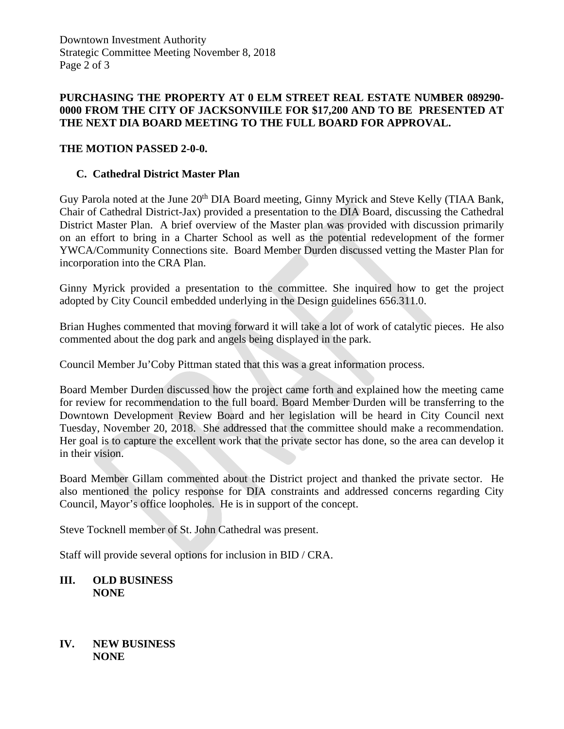#### **PURCHASING THE PROPERTY AT 0 ELM STREET REAL ESTATE NUMBER 089290- 0000 FROM THE CITY OF JACKSONVIILE FOR \$17,200 AND TO BE PRESENTED AT THE NEXT DIA BOARD MEETING TO THE FULL BOARD FOR APPROVAL.**

## **THE MOTION PASSED 2-0-0.**

## **C. Cathedral District Master Plan**

Guy Parola noted at the June 20<sup>th</sup> DIA Board meeting, Ginny Myrick and Steve Kelly (TIAA Bank, Chair of Cathedral District-Jax) provided a presentation to the DIA Board, discussing the Cathedral District Master Plan. A brief overview of the Master plan was provided with discussion primarily on an effort to bring in a Charter School as well as the potential redevelopment of the former YWCA/Community Connections site. Board Member Durden discussed vetting the Master Plan for incorporation into the CRA Plan.

Ginny Myrick provided a presentation to the committee. She inquired how to get the project adopted by City Council embedded underlying in the Design guidelines 656.311.0.

Brian Hughes commented that moving forward it will take a lot of work of catalytic pieces. He also commented about the dog park and angels being displayed in the park.

Council Member Ju'Coby Pittman stated that this was a great information process.

Board Member Durden discussed how the project came forth and explained how the meeting came for review for recommendation to the full board. Board Member Durden will be transferring to the Downtown Development Review Board and her legislation will be heard in City Council next Tuesday, November 20, 2018. She addressed that the committee should make a recommendation. Her goal is to capture the excellent work that the private sector has done, so the area can develop it in their vision.

Board Member Gillam commented about the District project and thanked the private sector. He also mentioned the policy response for DIA constraints and addressed concerns regarding City Council, Mayor's office loopholes. He is in support of the concept.

Steve Tocknell member of St. John Cathedral was present.

Staff will provide several options for inclusion in BID / CRA.

#### **III. OLD BUSINESS NONE**

#### **IV. NEW BUSINESS NONE**